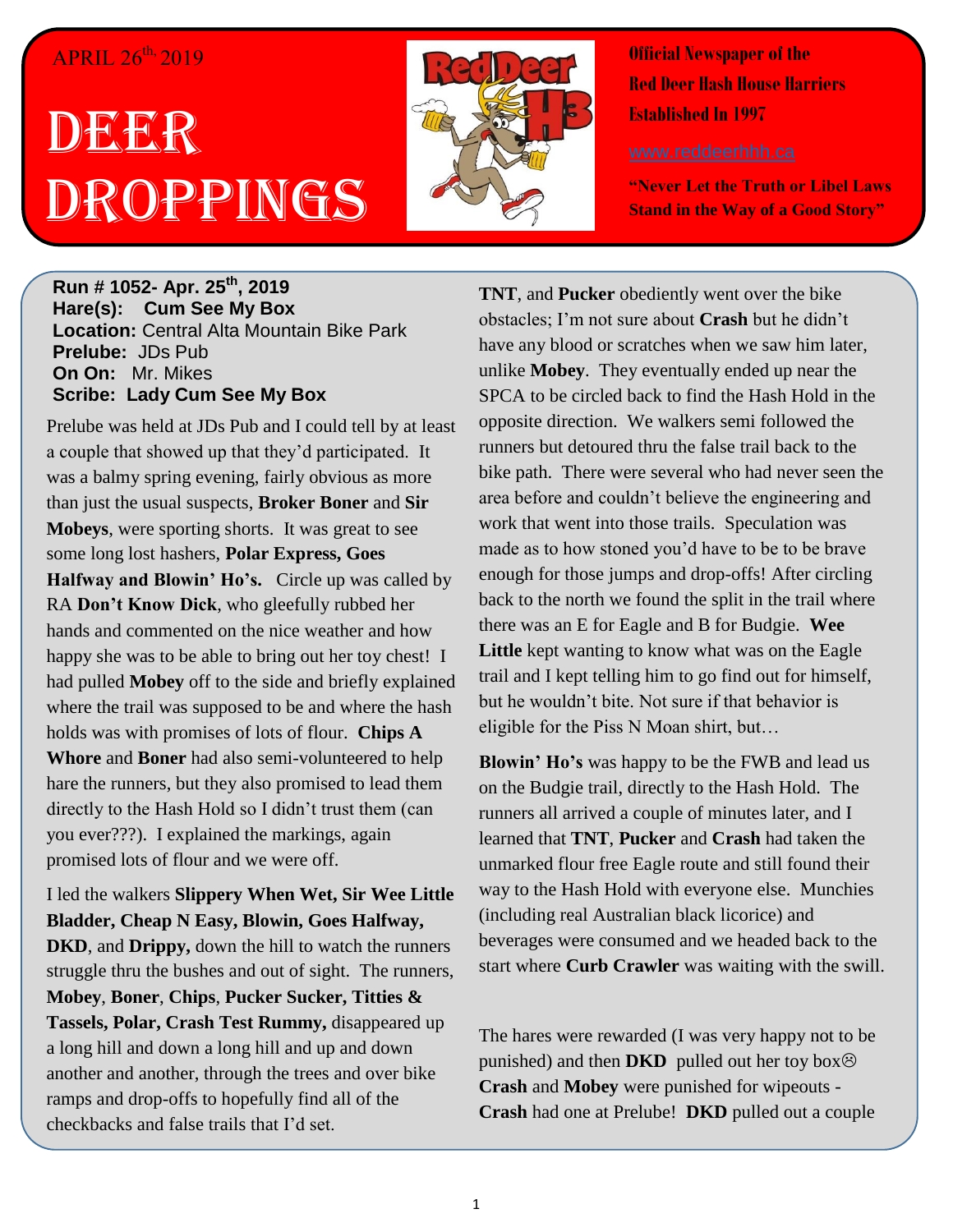## APRIL 26<sup>th,</sup> 2019

## DEERR Droppings



**Official Newspaper of the Red Deer Hash House Harriers Established In 1997** 

**"Never Let the Truth or Libel Laws Stand in the Way of a Good Story"**

**Run # 1052- Apr. 25th, 2019 Hare(s): Cum See My Box Location:** Central Alta Mountain Bike Park **Prelube:** JDs Pub **On On:** Mr. Mikes **Scribe: Lady Cum See My Box**

Prelube was held at JDs Pub and I could tell by at least a couple that showed up that they'd participated. It was a balmy spring evening, fairly obvious as more than just the usual suspects, **Broker Boner** and **Sir Mobeys**, were sporting shorts. It was great to see some long lost hashers, **Polar Express, Goes Halfway and Blowin' Ho's.** Circle up was called by RA **Don't Know Dick**, who gleefully rubbed her hands and commented on the nice weather and how happy she was to be able to bring out her toy chest! I had pulled **Mobey** off to the side and briefly explained where the trail was supposed to be and where the hash holds was with promises of lots of flour. **Chips A Whore** and **Boner** had also semi-volunteered to help hare the runners, but they also promised to lead them directly to the Hash Hold so I didn't trust them (can you ever???). I explained the markings, again promised lots of flour and we were off.

I led the walkers **Slippery When Wet, Sir Wee Little Bladder, Cheap N Easy, Blowin, Goes Halfway, DKD**, and **Drippy,** down the hill to watch the runners struggle thru the bushes and out of sight. The runners, **Mobey**, **Boner**, **Chips**, **Pucker Sucker, Titties & Tassels, Polar, Crash Test Rummy,** disappeared up a long hill and down a long hill and up and down another and another, through the trees and over bike ramps and drop-offs to hopefully find all of the checkbacks and false trails that I'd set.

**TNT**, and **Pucker** obediently went over the bike obstacles; I'm not sure about **Crash** but he didn't have any blood or scratches when we saw him later, unlike **Mobey**. They eventually ended up near the SPCA to be circled back to find the Hash Hold in the opposite direction. We walkers semi followed the runners but detoured thru the false trail back to the bike path. There were several who had never seen the area before and couldn't believe the engineering and work that went into those trails. Speculation was made as to how stoned you'd have to be to be brave enough for those jumps and drop-offs! After circling back to the north we found the split in the trail where there was an E for Eagle and B for Budgie. **Wee Little** kept wanting to know what was on the Eagle trail and I kept telling him to go find out for himself, but he wouldn't bite. Not sure if that behavior is eligible for the Piss N Moan shirt, but…

**Blowin' Ho's** was happy to be the FWB and lead us on the Budgie trail, directly to the Hash Hold. The runners all arrived a couple of minutes later, and I learned that **TNT**, **Pucker** and **Crash** had taken the unmarked flour free Eagle route and still found their way to the Hash Hold with everyone else. Munchies (including real Australian black licorice) and beverages were consumed and we headed back to the start where **Curb Crawler** was waiting with the swill.

The hares were rewarded (I was very happy not to be punished) and then **DKD** pulled out her toy box $\circledcirc$ **Crash** and **Mobey** were punished for wipeouts - **Crash** had one at Prelube! **DKD** pulled out a couple